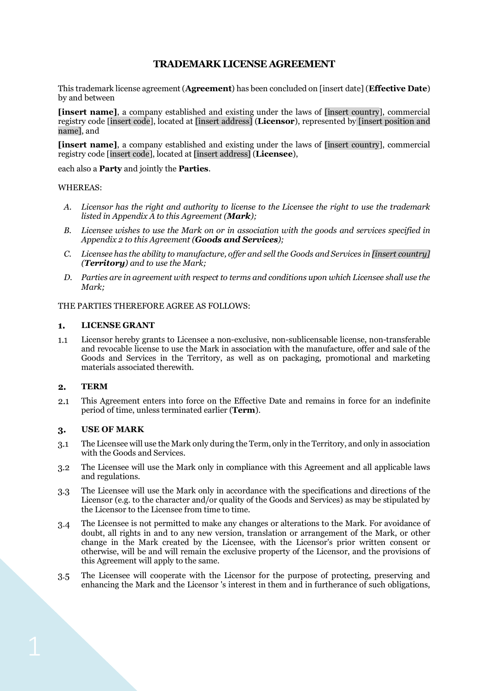## **TRADEMARK LICENSE AGREEMENT**

This trademark license agreement (**Agreement**) has been concluded on [insert date] (**Effective Date**) by and between

**[insert name]**, a company established and existing under the laws of [insert country], commercial registry code [insert code], located at [insert address] (**Licensor**), represented by [insert position and name], and

**[insert name]**, a company established and existing under the laws of [insert country], commercial registry code [insert code], located at [insert address] (**Licensee**),

each also a **Party** and jointly the **Parties**.

### WHEREAS:

- *A. Licensor has the right and authority to license to the Licensee the right to use the trademark listed in Appendix A to this Agreement (Mark);*
- *B. Licensee wishes to use the Mark on or in association with the goods and services specified in Appendix 2 to this Agreement (Goods and Services);*
- *C. Licensee has the ability to manufacture, offer and sell the Goods and Services in [insert country] (Territory) and to use the Mark;*
- *D. Parties are in agreement with respect to terms and conditions upon which Licensee shall use the Mark;*

THE PARTIES THEREFORE AGREE AS FOLLOWS:

#### **LICENSE GRANT**  $\mathbf{1}$ .

Licensor hereby grants to Licensee a non-exclusive, non-sublicensable license, non-transferable  $1.1$ and revocable license to use the Mark in association with the manufacture, offer and sale of the Goods and Services in the Territory, as well as on packaging, promotional and marketing materials associated therewith.

#### **TERM**  $2.$

This Agreement enters into force on the Effective Date and remains in force for an indefinite  $2.1$ period of time, unless terminated earlier (**Term**).

#### **USE OF MARK**  3.

- The Licensee will use the Mark only during the Term, only in the Territory, and only in association  $3.1$ with the Goods and Services.
- The Licensee will use the Mark only in compliance with this Agreement and all applicable laws  $3.2$ and regulations.
- The Licensee will use the Mark only in accordance with the specifications and directions of the  $3.3$ Licensor (e.g. to the character and/or quality of the Goods and Services) as may be stipulated by the Licensor to the Licensee from time to time.
- The Licensee is not permitted to make any changes or alterations to the Mark. For avoidance of  $3.4$ doubt, all rights in and to any new version, translation or arrangement of the Mark, or other change in the Mark created by the Licensee, with the Licensor's prior written consent or otherwise, will be and will remain the exclusive property of the Licensor, and the provisions of this Agreement will apply to the same.
- The Licensee will cooperate with the Licensor for the purpose of protecting, preserving and  $3.5$ enhancing the Mark and the Licensor 's interest in them and in furtherance of such obligations,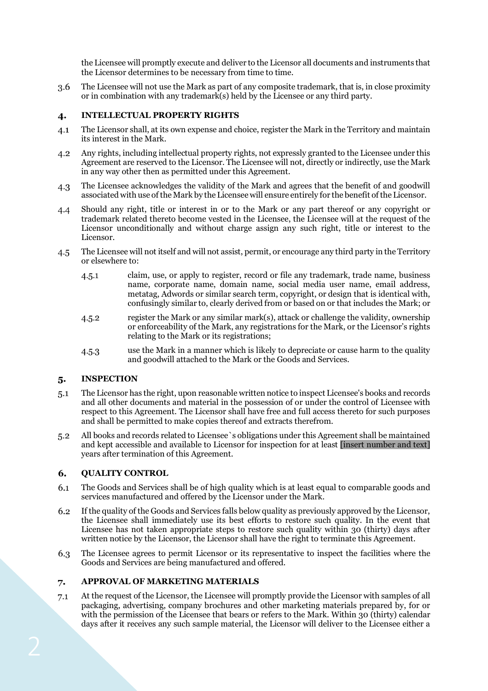the Licensee will promptly execute and deliver to the Licensor all documents and instruments that the Licensor determines to be necessary from time to time.

The Licensee will not use the Mark as part of any composite trademark, that is, in close proximity 3.6 or in combination with any trademark(s) held by the Licensee or any third party.

#### **INTELLECTUAL PROPERTY RIGHTS**  $4.$

- The Licensor shall, at its own expense and choice, register the Mark in the Territory and maintain  $4.1$ its interest in the Mark.
- Any rights, including intellectual property rights, not expressly granted to the Licensee under this  $4.2$ Agreement are reserved to the Licensor. The Licensee will not, directly or indirectly, use the Mark in any way other then as permitted under this Agreement.
- The Licensee acknowledges the validity of the Mark and agrees that the benefit of and goodwill  $4.3$ associated with use of the Mark by the Licensee will ensure entirely for the benefit of the Licensor.
- $4.4$ Should any right, title or interest in or to the Mark or any part thereof or any copyright or trademark related thereto become vested in the Licensee, the Licensee will at the request of the Licensor unconditionally and without charge assign any such right, title or interest to the Licensor.
- The Licensee will not itself and will not assist, permit, or encourage any third party in the Territory  $4.5$ or elsewhere to:
	- claim, use, or apply to register, record or file any trademark, trade name, business  $4.5.1$ name, corporate name, domain name, social media user name, email address, metatag, Adwords or similar search term, copyright, or design that is identical with, confusingly similar to, clearly derived from or based on or that includes the Mark; or
	- register the Mark or any similar mark(s), attack or challenge the validity, ownership  $4.5.2$ or enforceability of the Mark, any registrations for the Mark, or the Licensor's rights relating to the Mark or its registrations;
	- use the Mark in a manner which is likely to depreciate or cause harm to the quality  $4.5.3$ and goodwill attached to the Mark or the Goods and Services.

#### **INSPECTION** 5.

- The Licensor has the right, upon reasonable written notice to inspect Licensee's books and records  $5.1$ and all other documents and material in the possession of or under the control of Licensee with respect to this Agreement. The Licensor shall have free and full access thereto for such purposes and shall be permitted to make copies thereof and extracts therefrom.
- All books and records related to Licensee`s obligations under this Agreement shall be maintained  $5.2$ and kept accessible and available to Licensor for inspection for at least [insert number and text] years after termination of this Agreement.

#### 6. **QUALITY CONTROL**

- 6.1 The Goods and Services shall be of high quality which is at least equal to comparable goods and services manufactured and offered by the Licensor under the Mark.
- $6.2$ If the quality of the Goods and Services falls below quality as previously approved by the Licensor, the Licensee shall immediately use its best efforts to restore such quality. In the event that Licensee has not taken appropriate steps to restore such quality within 30 (thirty) days after written notice by the Licensor, the Licensor shall have the right to terminate this Agreement.
- The Licensee agrees to permit Licensor or its representative to inspect the facilities where the 6.3 Goods and Services are being manufactured and offered.

#### **APPROVAL OF MARKETING MATERIALS** 7.

At the request of the Licensor, the Licensee will promptly provide the Licensor with samples of all  $7.1$ packaging, advertising, company brochures and other marketing materials prepared by, for or with the permission of the Licensee that bears or refers to the Mark. Within 30 (thirty) calendar days after it receives any such sample material, the Licensor will deliver to the Licensee either a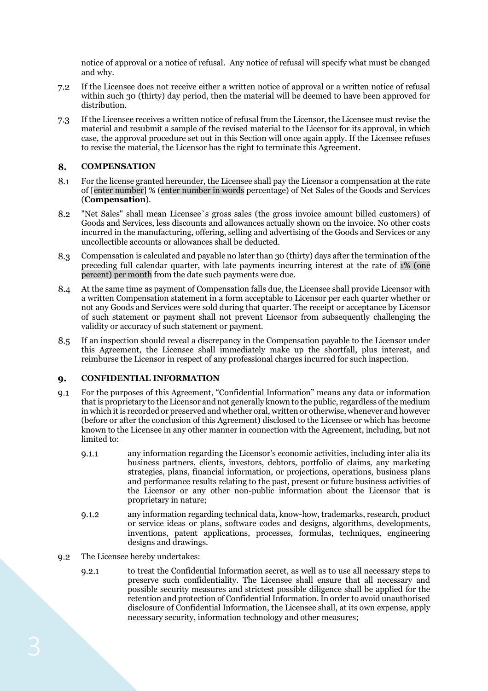notice of approval or a notice of refusal. Any notice of refusal will specify what must be changed and why.

- If the Licensee does not receive either a written notice of approval or a written notice of refusal  $7.2$ within such 30 (thirty) day period, then the material will be deemed to have been approved for distribution.
- $7.3$ If the Licensee receives a written notice of refusal from the Licensor, the Licensee must revise the material and resubmit a sample of the revised material to the Licensor for its approval, in which case, the approval procedure set out in this Section will once again apply. If the Licensee refuses to revise the material, the Licensor has the right to terminate this Agreement.

#### 8. **COMPENSATION**

- 8.1 For the license granted hereunder, the Licensee shall pay the Licensor a compensation at the rate of [enter number] % (enter number in words percentage) of Net Sales of the Goods and Services (**Compensation**).
- 8.2 "Net Sales" shall mean Licensee`s gross sales (the gross invoice amount billed customers) of Goods and Services, less discounts and allowances actually shown on the invoice. No other costs incurred in the manufacturing, offering, selling and advertising of the Goods and Services or any uncollectible accounts or allowances shall be deducted.
- 8.3 Compensation is calculated and payable no later than 30 (thirty) days after the termination of the preceding full calendar quarter, with late payments incurring interest at the rate of 1% (one percent) per month from the date such payments were due.
- At the same time as payment of Compensation falls due, the Licensee shall provide Licensor with 8.4 a written Compensation statement in a form acceptable to Licensor per each quarter whether or not any Goods and Services were sold during that quarter. The receipt or acceptance by Licensor of such statement or payment shall not prevent Licensor from subsequently challenging the validity or accuracy of such statement or payment.
- 8.5 If an inspection should reveal a discrepancy in the Compensation payable to the Licensor under this Agreement, the Licensee shall immediately make up the shortfall, plus interest, and reimburse the Licensor in respect of any professional charges incurred for such inspection.

#### **CONFIDENTIAL INFORMATION** 9.

- $Q.1$ For the purposes of this Agreement, "Confidential Information" means any data or information that is proprietary to the Licensor and not generally known to the public, regardless of the medium in which it is recorded or preserved and whether oral, written or otherwise, whenever and however (before or after the conclusion of this Agreement) disclosed to the Licensee or which has become known to the Licensee in any other manner in connection with the Agreement, including, but not limited to:
	- any information regarding the Licensor's economic activities, including inter alia its  $9.1.1$ business partners, clients, investors, debtors, portfolio of claims, any marketing strategies, plans, financial information, or projections, operations, business plans and performance results relating to the past, present or future business activities of the Licensor or any other non-public information about the Licensor that is proprietary in nature;
	- any information regarding technical data, know-how, trademarks, research, product 9.1.2 or service ideas or plans, software codes and designs, algorithms, developments, inventions, patent applications, processes, formulas, techniques, engineering designs and drawings.
- The Licensee hereby undertakes:  $9.2$ 
	- to treat the Confidential Information secret, as well as to use all necessary steps to  $9.2.1$ preserve such confidentiality. The Licensee shall ensure that all necessary and possible security measures and strictest possible diligence shall be applied for the retention and protection of Confidential Information. In order to avoid unauthorised disclosure of Confidential Information, the Licensee shall, at its own expense, apply necessary security, information technology and other measures;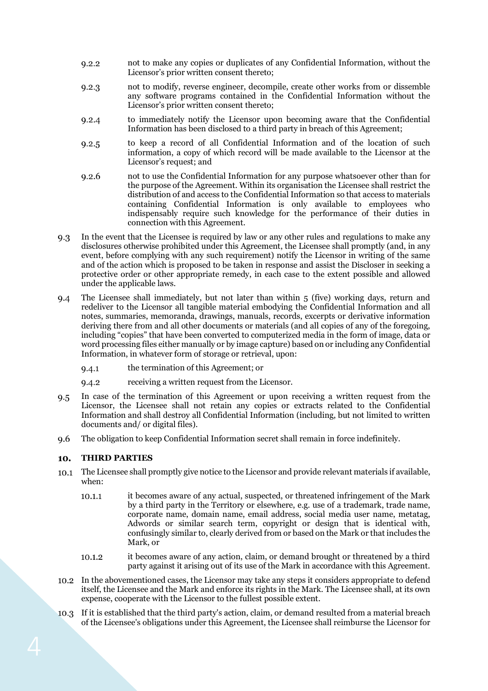- not to make any copies or duplicates of any Confidential Information, without the  $9.2.2$ Licensor's prior written consent thereto;
- not to modify, reverse engineer, decompile, create other works from or dissemble  $9.2.3$ any software programs contained in the Confidential Information without the Licensor's prior written consent thereto;
- to immediately notify the Licensor upon becoming aware that the Confidential  $9.2.4$ Information has been disclosed to a third party in breach of this Agreement;
- to keep a record of all Confidential Information and of the location of such  $9.2.5$ information, a copy of which record will be made available to the Licensor at the Licensor's request; and
- $9.2.6$ not to use the Confidential Information for any purpose whatsoever other than for the purpose of the Agreement. Within its organisation the Licensee shall restrict the distribution of and access to the Confidential Information so that access to materials containing Confidential Information is only available to employees who indispensably require such knowledge for the performance of their duties in connection with this Agreement.
- $9.3$ In the event that the Licensee is required by law or any other rules and regulations to make any disclosures otherwise prohibited under this Agreement, the Licensee shall promptly (and, in any event, before complying with any such requirement) notify the Licensor in writing of the same and of the action which is proposed to be taken in response and assist the Discloser in seeking a protective order or other appropriate remedy, in each case to the extent possible and allowed under the applicable laws.
- The Licensee shall immediately, but not later than within 5 (five) working days, return and 9.4 redeliver to the Licensor all tangible material embodying the Confidential Information and all notes, summaries, memoranda, drawings, manuals, records, excerpts or derivative information deriving there from and all other documents or materials (and all copies of any of the foregoing, including "copies" that have been converted to computerized media in the form of image, data or word processing files either manually or by image capture) based on or including any Confidential Information, in whatever form of storage or retrieval, upon:
	- $9.4.1$ the termination of this Agreement; or
	- $9.4.2$ receiving a written request from the Licensor.
- In case of the termination of this Agreement or upon receiving a written request from the  $9.5$ Licensor, the Licensee shall not retain any copies or extracts related to the Confidential Information and shall destroy all Confidential Information (including, but not limited to written documents and/ or digital files).
- The obligation to keep Confidential Information secret shall remain in force indefinitely.  $9.6$

#### **THIRD PARTIES** 10.

- The Licensee shall promptly give notice to the Licensor and provide relevant materials if available, when:
	- it becomes aware of any actual, suspected, or threatened infringement of the Mark 10.1.1 by a third party in the Territory or elsewhere, e.g. use of a trademark, trade name, corporate name, domain name, email address, social media user name, metatag, Adwords or similar search term, copyright or design that is identical with, confusingly similar to, clearly derived from or based on the Mark or that includes the Mark, or
	- it becomes aware of any action, claim, or demand brought or threatened by a third 10.1.2 party against it arising out of its use of the Mark in accordance with this Agreement.
- In the abovementioned cases, the Licensor may take any steps it considers appropriate to defend itself, the Licensee and the Mark and enforce its rights in the Mark. The Licensee shall, at its own expense, cooperate with the Licensor to the fullest possible extent.
- If it is established that the third party's action, claim, or demand resulted from a material breach of the Licensee's obligations under this Agreement, the Licensee shall reimburse the Licensor for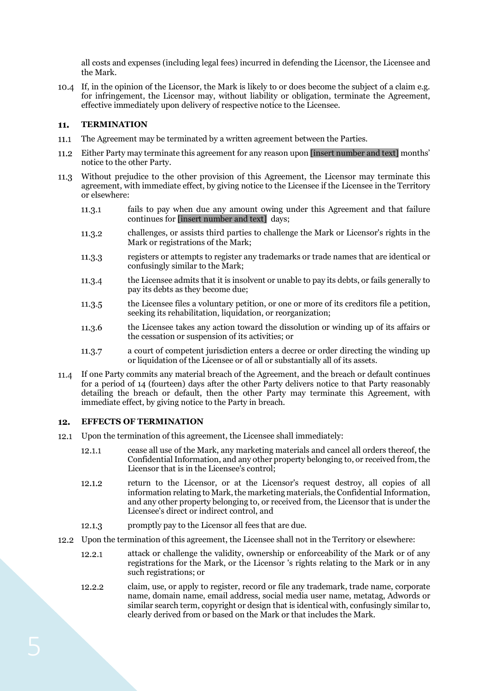all costs and expenses (including legal fees) incurred in defending the Licensor, the Licensee and the Mark.

If, in the opinion of the Licensor, the Mark is likely to or does become the subject of a claim e.g. for infringement, the Licensor may, without liability or obligation, terminate the Agreement, effective immediately upon delivery of respective notice to the Licensee.

#### $11.$ **TERMINATION**

- The Agreement may be terminated by a written agreement between the Parties.  $11.1$
- Either Party may terminate this agreement for any reason upon [insert number and text] months'  $11.2$ notice to the other Party.
- Without prejudice to the other provision of this Agreement, the Licensor may terminate this 11.3 agreement, with immediate effect, by giving notice to the Licensee if the Licensee in the Territory or elsewhere:
	- 11.3.1 fails to pay when due any amount owing under this Agreement and that failure continues for [insert number and text] days;
	- challenges, or assists third parties to challenge the Mark or Licensor's rights in the 11.3.2 Mark or registrations of the Mark;
	- registers or attempts to register any trademarks or trade names that are identical or  $11.3.3$ confusingly similar to the Mark;
	- the Licensee admits that it is insolvent or unable to pay its debts, or fails generally to 11.3.4 pay its debts as they become due;
	- the Licensee files a voluntary petition, or one or more of its creditors file a petition,  $11.3.5$ seeking its rehabilitation, liquidation, or reorganization;
	- the Licensee takes any action toward the dissolution or winding up of its affairs or 11.3.6 the cessation or suspension of its activities; or
	- a court of competent jurisdiction enters a decree or order directing the winding up 11.3.7 or liquidation of the Licensee or of all or substantially all of its assets.
- If one Party commits any material breach of the Agreement, and the breach or default continues for a period of 14 (fourteen) days after the other Party delivers notice to that Party reasonably detailing the breach or default, then the other Party may terminate this Agreement, with immediate effect, by giving notice to the Party in breach.

#### $12.$ **EFFECTS OF TERMINATION**

- Upon the termination of this agreement, the Licensee shall immediately:
	- cease all use of the Mark, any marketing materials and cancel all orders thereof, the 12.1.1 Confidential Information, and any other property belonging to, or received from, the Licensor that is in the Licensee's control;
	- return to the Licensor, or at the Licensor's request destroy, all copies of all 12.1.2 information relating to Mark, the marketing materials, the Confidential Information, and any other property belonging to, or received from, the Licensor that is under the Licensee's direct or indirect control, and
	- promptly pay to the Licensor all fees that are due. 12.1.3
- Upon the termination of this agreement, the Licensee shall not in the Territory or elsewhere:
	- attack or challenge the validity, ownership or enforceability of the Mark or of any 12.2.1 registrations for the Mark, or the Licensor 's rights relating to the Mark or in any such registrations; or
	- claim, use, or apply to register, record or file any trademark, trade name, corporate 12.2.2 name, domain name, email address, social media user name, metatag, Adwords or similar search term, copyright or design that is identical with, confusingly similar to, clearly derived from or based on the Mark or that includes the Mark.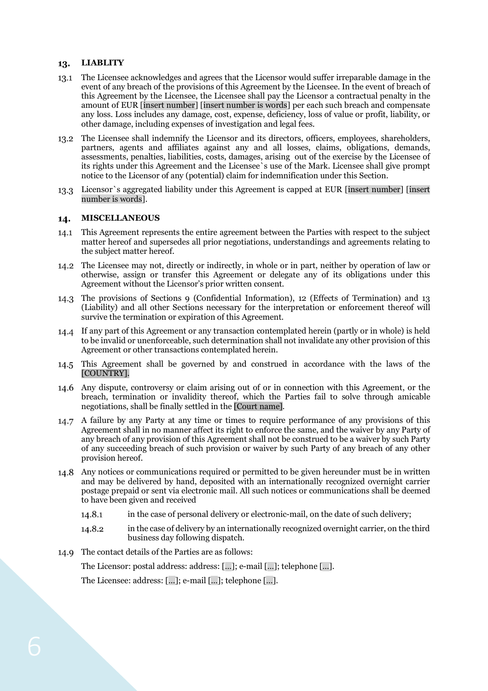### **LIABLITY**

- The Licensee acknowledges and agrees that the Licensor would suffer irreparable damage in the event of any breach of the provisions of this Agreement by the Licensee. In the event of breach of this Agreement by the Licensee, the Licensee shall pay the Licensor a contractual penalty in the amount of EUR [insert number] [insert number is words] per each such breach and compensate any loss. Loss includes any damage, cost, expense, deficiency, loss of value or profit, liability, or other damage, including expenses of investigation and legal fees.
- The Licensee shall indemnify the Licensor and its directors, officers, employees, shareholders, partners, agents and affiliates against any and all losses, claims, obligations, demands, assessments, penalties, liabilities, costs, damages, arising out of the exercise by the Licensee of its rights under this Agreement and the Licensee`s use of the Mark. Licensee shall give prompt notice to the Licensor of any (potential) claim for indemnification under this Section.
- Licensor`s aggregated liability under this Agreement is capped at EUR [insert number] [insert number is words].

#### **MISCELLANEOUS** 14.

- This Agreement represents the entire agreement between the Parties with respect to the subject matter hereof and supersedes all prior negotiations, understandings and agreements relating to the subject matter hereof.
- The Licensee may not, directly or indirectly, in whole or in part, neither by operation of law or otherwise, assign or transfer this Agreement or delegate any of its obligations under this Agreement without the Licensor's prior written consent.
- The provisions of Sections 9 (Confidential Information), 12 (Effects of Termination) and 13 (Liability) and all other Sections necessary for the interpretation or enforcement thereof will survive the termination or expiration of this Agreement.
- If any part of this Agreement or any transaction contemplated herein (partly or in whole) is held to be invalid or unenforceable, such determination shall not invalidate any other provision of this Agreement or other transactions contemplated herein.
- This Agreement shall be governed by and construed in accordance with the laws of the  $14.5$ [COUNTRY].
- Any dispute, controversy or claim arising out of or in connection with this Agreement, or the breach, termination or invalidity thereof, which the Parties fail to solve through amicable negotiations, shall be finally settled in the [Court name].
- A failure by any Party at any time or times to require performance of any provisions of this Agreement shall in no manner affect its right to enforce the same, and the waiver by any Party of any breach of any provision of this Agreement shall not be construed to be a waiver by such Party of any succeeding breach of such provision or waiver by such Party of any breach of any other provision hereof.
- Any notices or communications required or permitted to be given hereunder must be in written and may be delivered by hand, deposited with an internationally recognized overnight carrier postage prepaid or sent via electronic mail. All such notices or communications shall be deemed to have been given and received
	- in the case of personal delivery or electronic-mail, on the date of such delivery; 14.8.1
	- 14.8.2 in the case of delivery by an internationally recognized overnight carrier, on the third business day following dispatch.
- 14.9 The contact details of the Parties are as follows:

The Licensor: postal address: address: […]; e-mail […]; telephone […].

The Licensee: address: […]; e-mail […]; telephone […].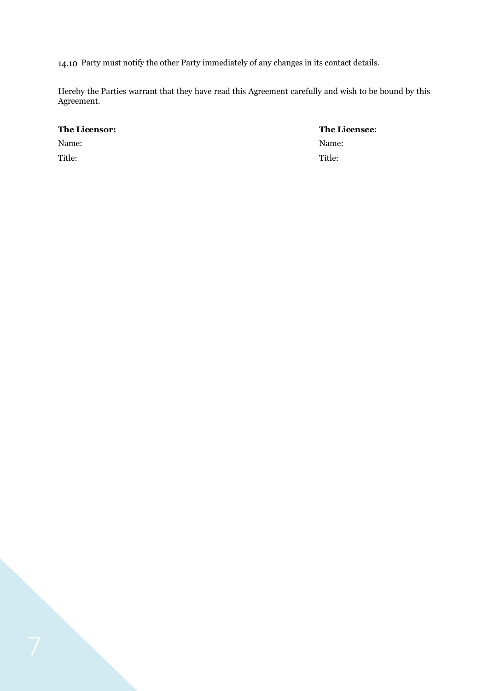14.10 Party must notify the other Party immediately of any changes in its contact details.

Hereby the Parties warrant that they have read this Agreement carefully and wish to be bound by this Agreement.

### **The Licensor: The Licensee**:

Name: Name: Title: Title: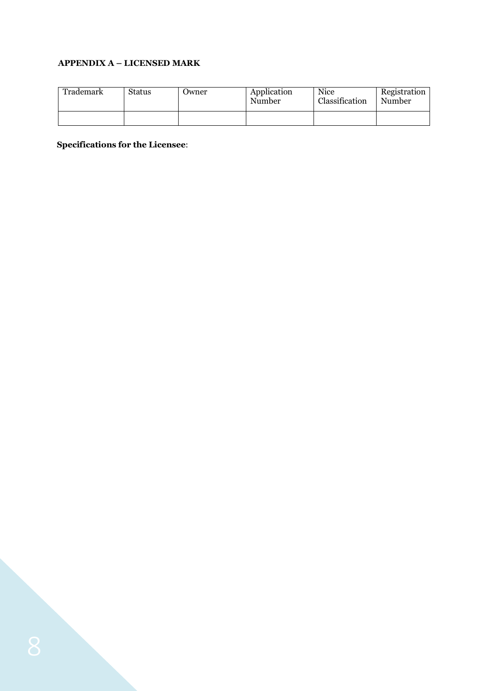# **APPENDIX A – LICENSED MARK**

| Trademark | <b>Status</b> | Owner | Application<br>Number | <b>Nice</b><br>Classification | Registration<br>Number |
|-----------|---------------|-------|-----------------------|-------------------------------|------------------------|
|           |               |       |                       |                               |                        |

**Specifications for the Licensee**: